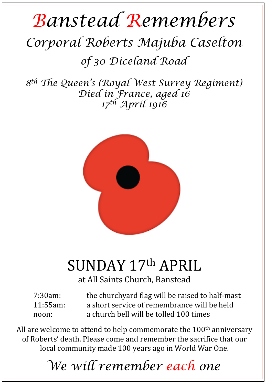## *Banstead Remembers Corporal Roberts Majuba Caselton*

*of 30 Diceland Road* 

*8th The Queen's (Royal West Surrey Regiment) Died in France, aged 16 17th April 1916* 



## SUNDAY 17th APRIL

at All Saints Church, Banstead

7:30am: the churchyard flag will be raised to half-mast 11:55am: a short service of remembrance will be held noon: a church bell will be tolled 100 times

All are welcome to attend to help commemorate the  $100<sup>th</sup>$  anniversary of Roberts' death. Please come and remember the sacrifice that our local community made 100 years ago in World War One.

*We will remember each one*